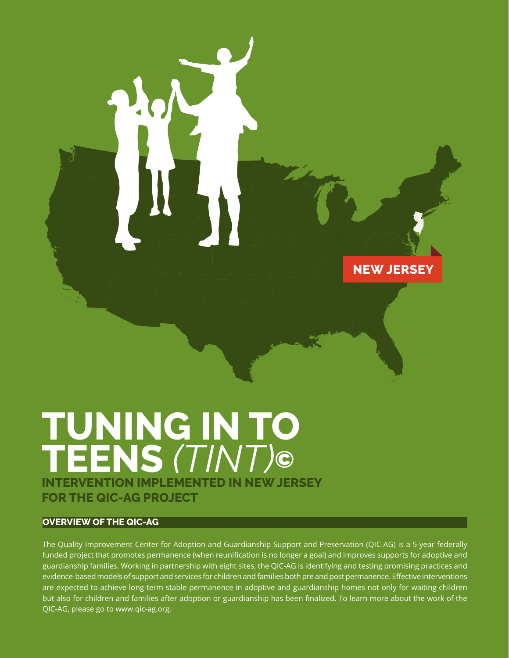**NEW JERSEY**

# **TUNING IN TO TEENS** *(TINT)***© INTERVENTION IMPLEMENTED IN NEW JERSEY FOR THE QIC-AG PROJECT**

## **OVERVIEW OF THE QIC-AG**

The Quality Improvement Center for Adoption and Guardianship Support and Preservation (QIC-AG) is a 5-year federally funded project that promotes permanence (when reunification is no longer a goal) and improves supports for adoptive and guardianship families. Working in partnership with eight sites, the QIC-AG is identifying and testing promising practices and evidence-based models of support and services for children and families both pre and post permanence. Effective interventions are expected to achieve long-term stable permanence in adoptive and guardianship homes not only for waiting children but also for children and families after adoption or guardianship has been finalized. To learn more about the work of the QIC-AG, please go to www.qic-ag.org.

Tuning in to Teens (TINT) $\overline{A}$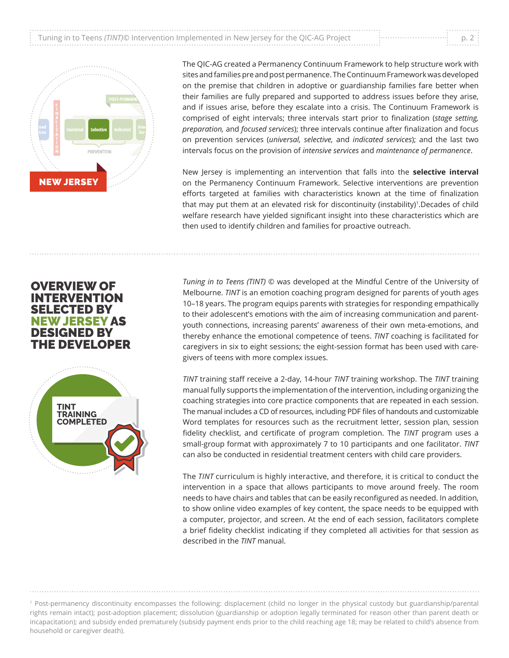



The QIC-AG created a Permanency Continuum Framework to help structure work with sites and families pre and post permanence. The Continuum Framework was developed on the premise that children in adoptive or guardianship families fare better when their families are fully prepared and supported to address issues before they arise, and if issues arise, before they escalate into a crisis. The Continuum Framework is comprised of eight intervals; three intervals start prior to finalization (*stage setting, preparation,* and *focused services*); three intervals continue after finalization and focus on prevention services (*universal, selective,* and *indicated services*); and the last two intervals focus on the provision of *intensive services* and *maintenance of permanence*.

New Jersey is implementing an intervention that falls into the **selective interval** on the Permanency Continuum Framework. Selective interventions are prevention efforts targeted at families with characteristics known at the time of finalization that may put them at an elevated risk for discontinuity (instability)1.Decades of child welfare research have yielded significant insight into these characteristics which are then used to identify children and families for proactive outreach.

*Tuning in to Teens (TINT)* © was developed at the Mindful Centre of the University of Melbourne. *TINT* is an emotion coaching program designed for parents of youth ages 10–18 years. The program equips parents with strategies for responding empathically to their adolescent's emotions with the aim of increasing communication and parentyouth connections, increasing parents' awareness of their own meta-emotions, and thereby enhance the emotional competence of teens. *TINT* coaching is facilitated for caregivers in six to eight sessions; the eight-session format has been used with caregivers of teens with more complex issues.

*TINT* training staff receive a 2-day, 14-hour *TINT* training workshop. The *TINT* training manual fully supports the implementation of the intervention, including organizing the coaching strategies into core practice components that are repeated in each session. The manual includes a CD of resources, including PDF files of handouts and customizable Word templates for resources such as the recruitment letter, session plan, session fidelity checklist, and certificate of program completion. The *TINT* program uses a small-group format with approximately 7 to 10 participants and one facilitator. *TINT* can also be conducted in residential treatment centers with child care providers.

The *TINT* curriculum is highly interactive, and therefore, it is critical to conduct the intervention in a space that allows participants to move around freely. The room needs to have chairs and tables that can be easily reconfigured as needed. In addition, to show online video examples of key content, the space needs to be equipped with a computer, projector, and screen. At the end of each session, facilitators complete a brief fidelity checklist indicating if they completed all activities for that session as described in the *TINT* manual.

OVERVIEW OF INTERVENTION SELECTED BY NEW JERSEY AS DESIGNED BY THE DEVELOPER



<sup>1</sup> Post-permanency discontinuity encompasses the following: displacement (child no longer in the physical custody but guardianship/parental rights remain intact); post-adoption placement; dissolution (guardianship or adoption legally terminated for reason other than parent death or incapacitation); and subsidy ended prematurely (subsidy payment ends prior to the child reaching age 18; may be related to child's absence from household or caregiver death).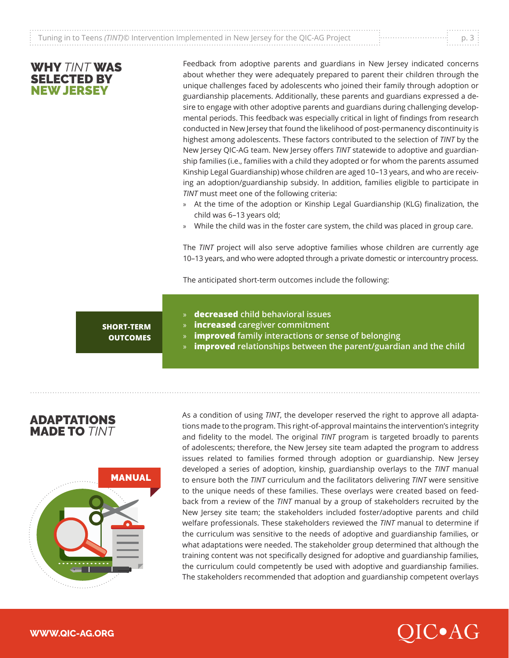|                                                                                                        | .   |
|--------------------------------------------------------------------------------------------------------|-----|
| $\frac{1}{2}$ Tuning in to Teens (TINT)© Intervention Implemented in New Jersey for the QIC-AG Project | n R |
|                                                                                                        |     |

## WHY *TINT* WAS SELECTED BY NEW JERSEY

Feedback from adoptive parents and guardians in New Jersey indicated concerns about whether they were adequately prepared to parent their children through the unique challenges faced by adolescents who joined their family through adoption or guardianship placements. Additionally, these parents and guardians expressed a desire to engage with other adoptive parents and guardians during challenging developmental periods. This feedback was especially critical in light of findings from research conducted in New Jersey that found the likelihood of post-permanency discontinuity is highest among adolescents. These factors contributed to the selection of *TINT* by the New Jersey QIC-AG team. New Jersey offers *TINT* statewide to adoptive and guardianship families (i.e., families with a child they adopted or for whom the parents assumed Kinship Legal Guardianship) whose children are aged 10–13 years, and who are receiving an adoption/guardianship subsidy. In addition, families eligible to participate in *TINT* must meet one of the following criteria:

- » At the time of the adoption or Kinship Legal Guardianship (KLG) finalization, the child was 6–13 years old;
- » While the child was in the foster care system, the child was placed in group care.

The *TINT* project will also serve adoptive families whose children are currently age 10–13 years, and who were adopted through a private domestic or intercountry process.

The anticipated short-term outcomes include the following:

# **SHORT-TERM OUTCOMES**

- » **decreased** child behavioral issues
- » improved family interactions or sense of belonging; and » **increased caregiver commitment**
- » **improved** family interactions or sense of belonging **propriate**
- » **improved relationships between the parent/guardian and the child**

## ADAPTATIONS MADE TO *TINT*



As a condition of using *TINT*, the developer reserved the right to approve all adaptations made to the program. This right-of-approval maintains the intervention's integrity and fidelity to the model. The original *TINT* program is targeted broadly to parents of adolescents; therefore, the New Jersey site team adapted the program to address issues related to families formed through adoption or guardianship. New Jersey developed a series of adoption, kinship, guardianship overlays to the *TINT* manual to ensure both the *TINT* curriculum and the facilitators delivering *TINT* were sensitive to the unique needs of these families. These overlays were created based on feedback from a review of the *TINT* manual by a group of stakeholders recruited by the New Jersey site team; the stakeholders included foster/adoptive parents and child welfare professionals. These stakeholders reviewed the *TINT* manual to determine if the curriculum was sensitive to the needs of adoptive and guardianship families, or what adaptations were needed. The stakeholder group determined that although the training content was not specifically designed for adoptive and guardianship families, the curriculum could competently be used with adoptive and guardianship families. The stakeholders recommended that adoption and guardianship competent overlays

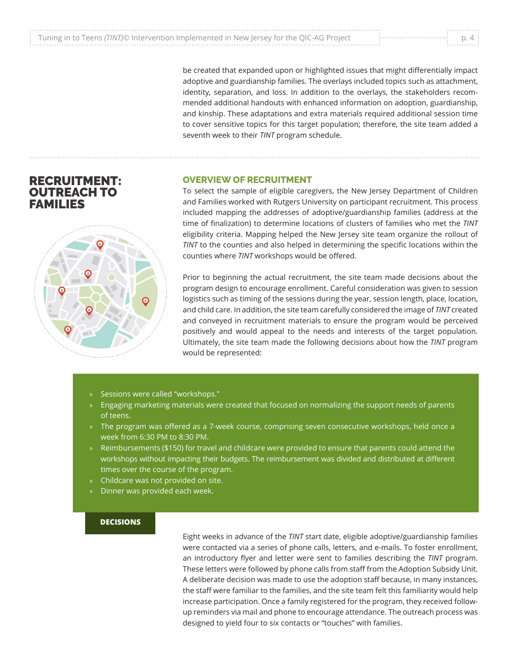|                                                                                          | . |
|------------------------------------------------------------------------------------------|---|
|                                                                                          |   |
| Tuning in to Teens (TINT)© Intervention Implemented in New Jersey for the QIC-AG Project |   |
|                                                                                          | . |

be created that expanded upon or highlighted issues that might differentially impact adoptive and guardianship families. The overlays included topics such as attachment, identity, separation, and loss. In addition to the overlays, the stakeholders recommended additional handouts with enhanced information on adoption, guardianship, and kinship. These adaptations and extra materials required additional session time to cover sensitive topics for this target population; therefore, the site team added a seventh week to their *TINT* program schedule.

#### **OVERVIEW OF RECRUITMENT**

To select the sample of eligible caregivers, the New Jersey Department of Children and Families worked with Rutgers University on participant recruitment. This process included mapping the addresses of adoptive/guardianship families (address at the time of finalization) to determine locations of clusters of families who met the *TINT* eligibility criteria. Mapping helped the New Jersey site team organize the rollout of *TINT* to the counties and also helped in determining the specific locations within the counties where *TINT* workshops would be offered.

Prior to beginning the actual recruitment, the site team made decisions about the program design to encourage enrollment. Careful consideration was given to session logistics such as timing of the sessions during the year, session length, place, location, and child care. In addition, the site team carefully considered the image of *TINT* created and conveyed in recruitment materials to ensure the program would be perceived positively and would appeal to the needs and interests of the target population. Ultimately, the site team made the following decisions about how the *TINT* program would be represented:

 $\mathcal{L}_{\mathcal{A}}$  and that focused on normalizing materials were created that focused on normalizing the sup-

- $\alpha$  ) the program was offered as a  $7-$ week course, comprising seven consecutive work-consecutive work-consecutive work-consecutive work-consecutive work-consecutive work-consecutive work-consecutive work-consecutive wor » Sessions were called "workshops."
- »  $\;$  Engaging marketing materials were created that focused on normalizing the support needs of parents  $\;$  $\mathcal{L}_{\mathcal{A}}$  for travel and childcare were provided to ensure that  $\mathcal{L}_{\mathcal{A}}$ of teens.
- » The program was offered as a 7-week course, comprising seven consecutive workshops, held once a bursement was divided at distributed at distributed at distributed at different times over the course of the course of the course of the course of the course of the course of the course of the course of the course of the c week from 6:30 PM to 8:30 PM.
- » Reimbursements (\$150) for travel and childcare were provided to ensure that parents could attend the  $\,$ workshops without impacting their budgets. The reimbursement was divided and distributed at different times over the course of the program.  $\hbox{D}$
- » Childcare was not provided on site.
- » Dinner was provided each week.

#### **DECISIONS**

Eight weeks in advance of the *TINT* start date, eligible adoptive/guardianship families were contacted via a series of phone calls, letters, and e-mails. To foster enrollment, an introductory flyer and letter were sent to families describing the *TINT* program. These letters were followed by phone calls from staff from the Adoption Subsidy Unit. A deliberate decision was made to use the adoption staff because, in many instances, the staff were familiar to the families, and the site team felt this familiarity would help increase participation. Once a family registered for the program, they received followup reminders via mail and phone to encourage attendance. The outreach process was designed to yield four to six contacts or "touches" with families.



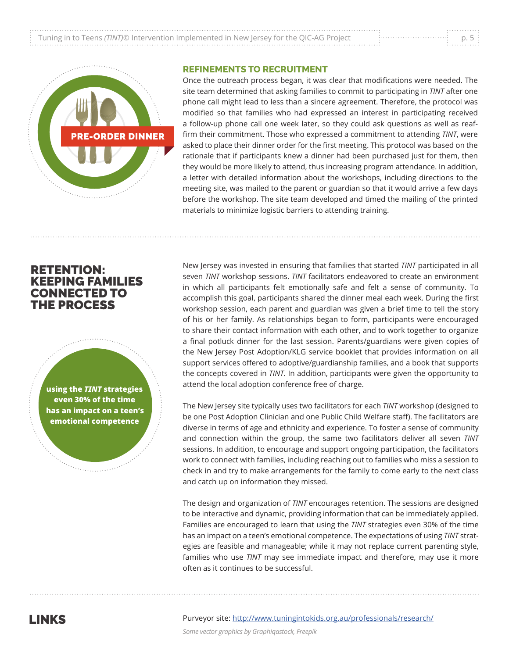|                                                                                          | . |
|------------------------------------------------------------------------------------------|---|
| Tuning in to Teens (TINT)© Intervention Implemented in New Jersey for the QIC-AG Project |   |
|                                                                                          | . |



## **REFINEMENTS TO RECRUITMENT**

Once the outreach process began, it was clear that modifications were needed. The site team determined that asking families to commit to participating in *TINT* after one phone call might lead to less than a sincere agreement. Therefore, the protocol was modified so that families who had expressed an interest in participating received a follow-up phone call one week later, so they could ask questions as well as reaffirm their commitment. Those who expressed a commitment to attending *TINT*, were asked to place their dinner order for the first meeting. This protocol was based on the rationale that if participants knew a dinner had been purchased just for them, then they would be more likely to attend, thus increasing program attendance. In addition, a letter with detailed information about the workshops, including directions to the meeting site, was mailed to the parent or guardian so that it would arrive a few days before the workshop. The site team developed and timed the mailing of the printed materials to minimize logistic barriers to attending training.

## RETENTION: KEEPING FAMILIES CONNECTED TO THE PROCESS

**using the** *TINT* **strategies even 30% of the time has an impact on a teen's emotional competence**

New Jersey was invested in ensuring that families that started *TINT* participated in all seven *TINT* workshop sessions. *TINT* facilitators endeavored to create an environment in which all participants felt emotionally safe and felt a sense of community. To accomplish this goal, participants shared the dinner meal each week. During the first workshop session, each parent and guardian was given a brief time to tell the story of his or her family. As relationships began to form, participants were encouraged to share their contact information with each other, and to work together to organize a final potluck dinner for the last session. Parents/guardians were given copies of the New Jersey Post Adoption/KLG service booklet that provides information on all support services offered to adoptive/guardianship families, and a book that supports the concepts covered in *TINT*. In addition, participants were given the opportunity to attend the local adoption conference free of charge.

The New Jersey site typically uses two facilitators for each *TINT* workshop (designed to be one Post Adoption Clinician and one Public Child Welfare staff). The facilitators are diverse in terms of age and ethnicity and experience. To foster a sense of community and connection within the group, the same two facilitators deliver all seven *TINT* sessions. In addition, to encourage and support ongoing participation, the facilitators work to connect with families, including reaching out to families who miss a session to check in and try to make arrangements for the family to come early to the next class and catch up on information they missed.

The design and organization of *TINT* encourages retention. The sessions are designed to be interactive and dynamic, providing information that can be immediately applied. Families are encouraged to learn that using the *TINT* strategies even 30% of the time has an impact on a teen's emotional competence. The expectations of using *TINT* strategies are feasible and manageable; while it may not replace current parenting style, families who use *TINT* may see immediate impact and therefore, may use it more often as it continues to be successful.